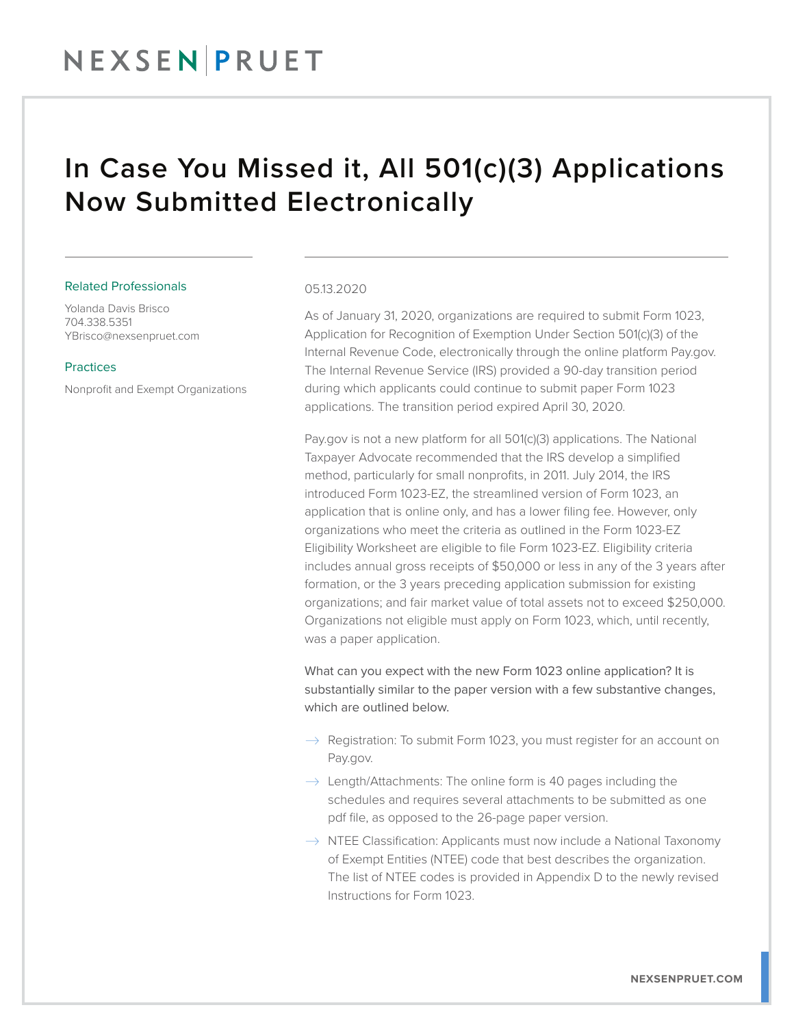# NEXSEN PRUET

## In Case You Missed it, All 501(c)(3) Applications Now Submitted Electronically

### Related Professionals

Yolanda Davis Brisco 704.338.5351 YBrisco@nexsenpruet.com

### Practices

Nonprofit and Exempt Organizations

### 05.13.2020

As of January 31, 2020, organizations are required to submit Form 1023, Application for Recognition of Exemption Under Section 501(c)(3) of the Internal Revenue Code, electronically through the online platform Pay.gov. The Internal Revenue Service (IRS) provided a 90-day transition period during which applicants could continue to submit paper Form 1023 applications. The transition period expired April 30, 2020.

Pay.gov is not a new platform for all 501(c)(3) applications. The National Taxpayer Advocate recommended that the IRS develop a simplified method, particularly for small nonprofits, in 2011. July 2014, the IRS introduced Form 1023-EZ, the streamlined version of Form 1023, an application that is online only, and has a lower filing fee. However, only organizations who meet the criteria as outlined in the Form 1023-EZ Eligibility Worksheet are eligible to file Form 1023-EZ. Eligibility criteria includes annual gross receipts of \$50,000 or less in any of the 3 years after formation, or the 3 years preceding application submission for existing organizations; and fair market value of total assets not to exceed \$250,000. Organizations not eligible must apply on Form 1023, which, until recently, was a paper application.

What can you expect with the new Form 1023 online application? It is substantially similar to the paper version with a few substantive changes, which are outlined below.

- $\rightarrow$  Registration: To submit Form 1023, you must register for an account on Pay.gov.
- $\rightarrow$  Length/Attachments: The online form is 40 pages including the schedules and requires several attachments to be submitted as one pdf file, as opposed to the 26-page paper version.
- $\rightarrow$  NTEE Classification: Applicants must now include a National Taxonomy of Exempt Entities (NTEE) code that best describes the organization. The list of NTEE codes is provided in Appendix D to the newly revised Instructions for Form 1023.